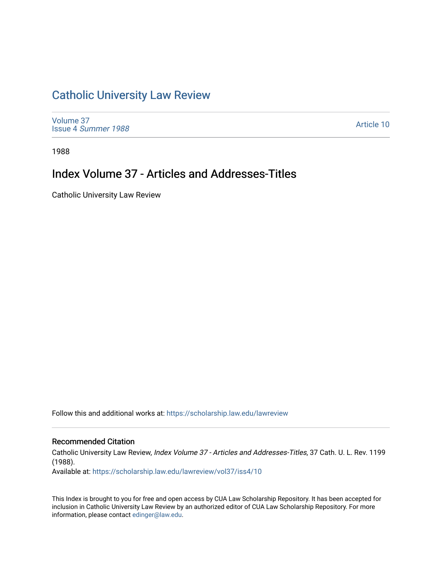## [Catholic University Law Review](https://scholarship.law.edu/lawreview)

[Volume 37](https://scholarship.law.edu/lawreview/vol37) Issue 4 [Summer 1988](https://scholarship.law.edu/lawreview/vol37/iss4) 

[Article 10](https://scholarship.law.edu/lawreview/vol37/iss4/10) 

1988

## Index Volume 37 - Articles and Addresses-Titles

Catholic University Law Review

Follow this and additional works at: [https://scholarship.law.edu/lawreview](https://scholarship.law.edu/lawreview?utm_source=scholarship.law.edu%2Flawreview%2Fvol37%2Fiss4%2F10&utm_medium=PDF&utm_campaign=PDFCoverPages)

#### Recommended Citation

Catholic University Law Review, Index Volume 37 - Articles and Addresses-Titles, 37 Cath. U. L. Rev. 1199 (1988).

Available at: [https://scholarship.law.edu/lawreview/vol37/iss4/10](https://scholarship.law.edu/lawreview/vol37/iss4/10?utm_source=scholarship.law.edu%2Flawreview%2Fvol37%2Fiss4%2F10&utm_medium=PDF&utm_campaign=PDFCoverPages) 

This Index is brought to you for free and open access by CUA Law Scholarship Repository. It has been accepted for inclusion in Catholic University Law Review by an authorized editor of CUA Law Scholarship Repository. For more information, please contact [edinger@law.edu.](mailto:edinger@law.edu)